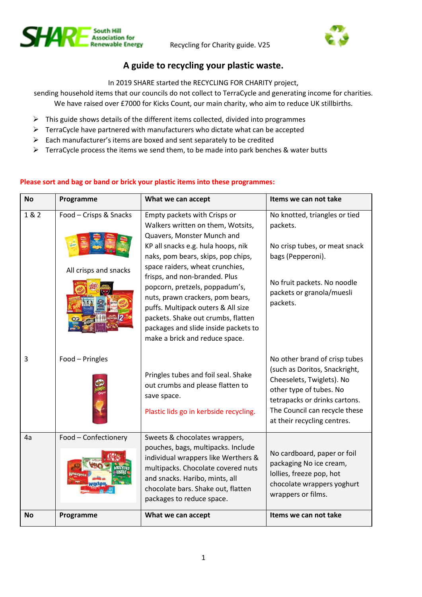



# **A guide to recycling your plastic waste.**

In 2019 SHARE started the RECYCLING FOR CHARITY project,

sending household items that our councils do not collect to TerraCycle and generating income for charities. We have raised over £7000 for Kicks Count, our main charity, who aim to reduce UK stillbirths.

- $\triangleright$  This guide shows details of the different items collected, divided into programmes
- ➢ TerraCycle have partnered with manufacturers who dictate what can be accepted
- ➢ Each manufacturer's items are boxed and sent separately to be credited
- ➢ TerraCycle process the items we send them, to be made into park benches & water butts

| <b>No</b> | Programme                                       | What we can accept                                                                                                                                                                                                                                                                                                                                                                                                                                                          | Items we can not take                                                                                                                                                                                                   |
|-----------|-------------------------------------------------|-----------------------------------------------------------------------------------------------------------------------------------------------------------------------------------------------------------------------------------------------------------------------------------------------------------------------------------------------------------------------------------------------------------------------------------------------------------------------------|-------------------------------------------------------------------------------------------------------------------------------------------------------------------------------------------------------------------------|
| 1 & 2     | Food - Crisps & Snacks<br>All crisps and snacks | Empty packets with Crisps or<br>Walkers written on them, Wotsits,<br>Quavers, Monster Munch and<br>KP all snacks e.g. hula hoops, nik<br>naks, pom bears, skips, pop chips,<br>space raiders, wheat crunchies,<br>frisps, and non-branded. Plus<br>popcorn, pretzels, poppadum's,<br>nuts, prawn crackers, pom bears,<br>puffs. Multipack outers & All size<br>packets. Shake out crumbs, flatten<br>packages and slide inside packets to<br>make a brick and reduce space. | No knotted, triangles or tied<br>packets.<br>No crisp tubes, or meat snack<br>bags (Pepperoni).<br>No fruit packets. No noodle<br>packets or granola/muesli<br>packets.                                                 |
| 3         | Food - Pringles                                 | Pringles tubes and foil seal. Shake<br>out crumbs and please flatten to<br>save space.<br>Plastic lids go in kerbside recycling.                                                                                                                                                                                                                                                                                                                                            | No other brand of crisp tubes<br>(such as Doritos, Snackright,<br>Cheeselets, Twiglets). No<br>other type of tubes. No<br>tetrapacks or drinks cartons.<br>The Council can recycle these<br>at their recycling centres. |
| 4a        | Food - Confectionery                            | Sweets & chocolates wrappers,<br>pouches, bags, multipacks. Include<br>individual wrappers like Werthers &<br>multipacks. Chocolate covered nuts<br>and snacks. Haribo, mints, all<br>chocolate bars. Shake out, flatten<br>packages to reduce space.                                                                                                                                                                                                                       | No cardboard, paper or foil<br>packaging No ice cream,<br>lollies, freeze pop, hot<br>chocolate wrappers yoghurt<br>wrappers or films.                                                                                  |
| No        | Programme                                       | What we can accept                                                                                                                                                                                                                                                                                                                                                                                                                                                          | Items we can not take                                                                                                                                                                                                   |

## **Please sort and bag or band or brick your plastic items into these programmes:**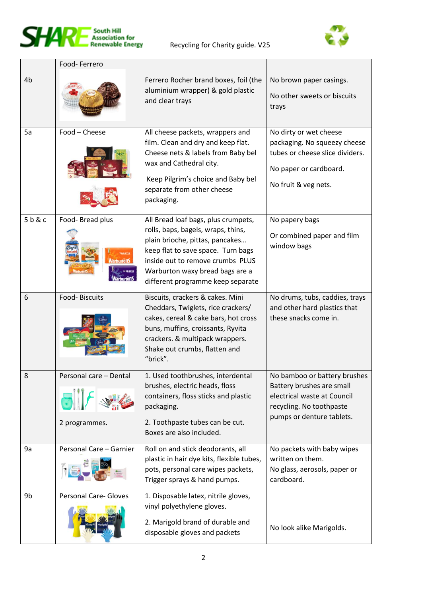



|      | Food-Ferrero                            |                                                                                                                                                                                                                                                                |                                                                                                                                                   |
|------|-----------------------------------------|----------------------------------------------------------------------------------------------------------------------------------------------------------------------------------------------------------------------------------------------------------------|---------------------------------------------------------------------------------------------------------------------------------------------------|
| 4b   |                                         | Ferrero Rocher brand boxes, foil (the<br>aluminium wrapper) & gold plastic<br>and clear trays                                                                                                                                                                  | No brown paper casings.<br>No other sweets or biscuits<br>trays                                                                                   |
| 5a   | Food - Cheese                           | All cheese packets, wrappers and<br>film. Clean and dry and keep flat.<br>Cheese nets & labels from Baby bel<br>wax and Cathedral city.<br>Keep Pilgrim's choice and Baby bel<br>separate from other cheese<br>packaging.                                      | No dirty or wet cheese<br>packaging. No squeezy cheese<br>tubes or cheese slice dividers.<br>No paper or cardboard.<br>No fruit & veg nets.       |
| 5b&c | Food- Bread plus                        | All Bread loaf bags, plus crumpets,<br>rolls, baps, bagels, wraps, thins,<br>plain brioche, pittas, pancakes<br>keep flat to save space. Turn bags<br>inside out to remove crumbs PLUS<br>Warburton waxy bread bags are a<br>different programme keep separate | No papery bags<br>Or combined paper and film<br>window bags                                                                                       |
| 6    | Food-Biscuits                           | Biscuits, crackers & cakes. Mini<br>Cheddars, Twiglets, rice crackers/<br>cakes, cereal & cake bars, hot cross<br>buns, muffins, croissants, Ryvita<br>crackers. & multipack wrappers.<br>Shake out crumbs, flatten and<br>"brick".                            | No drums, tubs, caddies, trays<br>and other hard plastics that<br>these snacks come in.                                                           |
| 8    | Personal care - Dental<br>2 programmes. | 1. Used toothbrushes, interdental<br>brushes, electric heads, floss<br>containers, floss sticks and plastic<br>packaging.<br>2. Toothpaste tubes can be cut.<br>Boxes are also included.                                                                       | No bamboo or battery brushes<br>Battery brushes are small<br>electrical waste at Council<br>recycling. No toothpaste<br>pumps or denture tablets. |
| 9a   | Personal Care - Garnier                 | Roll on and stick deodorants, all<br>plastic in hair dye kits, flexible tubes,<br>pots, personal care wipes packets,<br>Trigger sprays & hand pumps.                                                                                                           | No packets with baby wipes<br>written on them.<br>No glass, aerosols, paper or<br>cardboard.                                                      |
| 9b   | <b>Personal Care- Gloves</b>            | 1. Disposable latex, nitrile gloves,<br>vinyl polyethylene gloves.<br>2. Marigold brand of durable and<br>disposable gloves and packets                                                                                                                        | No look alike Marigolds.                                                                                                                          |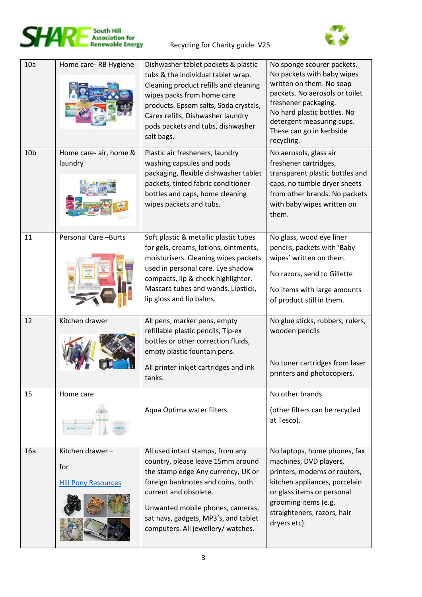



| 10a             | Home care-RB Hygiene                                 | Dishwasher tablet packets & plastic<br>tubs & the individual tablet wrap.<br>Cleaning product refills and cleaning<br>wipes packs from home care<br>products. Epsom salts, Soda crystals,<br>Carex refills, Dishwasher laundry<br>pods packets and tubs, dishwasher<br>salt bags.           | No sponge scourer packets.<br>No packets with baby wipes<br>written on them. No soap<br>packets. No aerosols or toilet<br>freshener packaging.<br>No hard plastic bottles. No<br>detergent measuring cups.<br>These can go in kerbside<br>recycling. |
|-----------------|------------------------------------------------------|---------------------------------------------------------------------------------------------------------------------------------------------------------------------------------------------------------------------------------------------------------------------------------------------|------------------------------------------------------------------------------------------------------------------------------------------------------------------------------------------------------------------------------------------------------|
| 10 <sub>b</sub> | Home care- air, home &<br>laundry                    | Plastic air fresheners, laundry<br>washing capsules and pods<br>packaging, flexible dishwasher tablet<br>packets, tinted fabric conditioner<br>bottles and caps, home cleaning<br>wipes packets and tubs.                                                                                   | No aerosols, glass air<br>freshener cartridges,<br>transparent plastic bottles and<br>caps, no tumble dryer sheets<br>from other brands. No packets<br>with baby wipes written on<br>them.                                                           |
| 11              | Personal Care - Burts                                | Soft plastic & metallic plastic tubes<br>for gels, creams, lotions, ointments,<br>moisturisers. Cleaning wipes packets<br>used in personal care. Eye shadow<br>compacts, lip & cheek highlighter.<br>Mascara tubes and wands. Lipstick,<br>lip gloss and lip balms.                         | No glass, wood eye liner<br>pencils, packets with 'Baby<br>wipes' written on them.<br>No razors, send to Gillette<br>No items with large amounts<br>of product still in them.                                                                        |
| 12              | Kitchen drawer                                       | All pens, marker pens, empty<br>refillable plastic pencils, Tip-ex<br>bottles or other correction fluids,<br>empty plastic fountain pens.<br>All printer inkjet cartridges and ink<br>tanks.                                                                                                | No glue sticks, rubbers, rulers,<br>wooden pencils<br>No toner cartridges from laser<br>printers and photocopiers.                                                                                                                                   |
| 15              | Home care                                            | Aqua Optima water filters                                                                                                                                                                                                                                                                   | No other brands.<br>(other filters can be recycled<br>at Tesco).                                                                                                                                                                                     |
| 16a             | Kitchen drawer-<br>for<br><b>Hill Pony Resources</b> | All used intact stamps, from any<br>country, please leave 15mm around<br>the stamp edge Any currency, UK or<br>foreign banknotes and coins, both<br>current and obsolete.<br>Unwanted mobile phones, cameras,<br>sat navs, gadgets, MP3's, and tablet<br>computers. All jewellery/ watches. | No laptops, home phones, fax<br>machines, DVD players,<br>printers, modems or routers,<br>kitchen appliances, porcelain<br>or glass items or personal<br>grooming items (e.g.<br>straighteners, razors, hair<br>dryers etc).                         |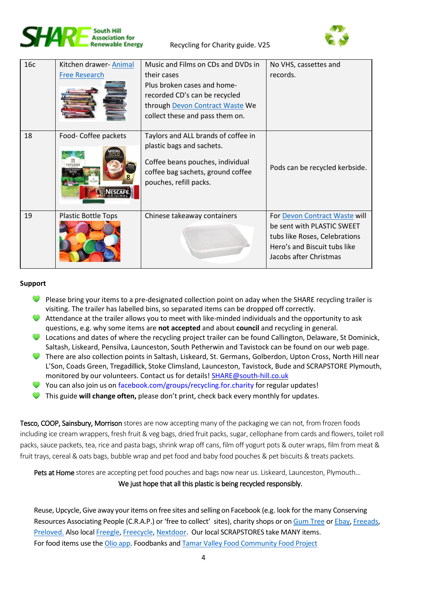



| 16c | Kitchen drawer-Animal<br><b>Free Research</b> | Music and Films on CDs and DVDs in<br>their cases<br>Plus broken cases and home-<br>recorded CD's can be recycled<br>through Devon Contract Waste We<br>collect these and pass them on. | No VHS, cassettes and<br>records.                                                                                                                      |
|-----|-----------------------------------------------|-----------------------------------------------------------------------------------------------------------------------------------------------------------------------------------------|--------------------------------------------------------------------------------------------------------------------------------------------------------|
| 18  | Food- Coffee packets<br><b>TAYLORS</b>        | Taylors and ALL brands of coffee in<br>plastic bags and sachets.<br>Coffee beans pouches, individual<br>coffee bag sachets, ground coffee<br>pouches, refill packs.                     | Pods can be recycled kerbside.                                                                                                                         |
| 19  | <b>Plastic Bottle Tops</b>                    | Chinese takeaway containers                                                                                                                                                             | For Devon Contract Waste will<br>be sent with PLASTIC SWEET<br>tubs like Roses, Celebrations<br>Hero's and Biscuit tubs like<br>Jacobs after Christmas |

### **Support**

- $\bullet$  Please bring your items to a pre-designated collection point on aday when the SHARE recycling trailer is visiting. The trailer has labelled bins, so separated items can be dropped off correctly.
- Attendance at the trailer allows you to meet with like-minded individuals and the opportunity to ask questions, e.g. why some items are **not accepted** and about **[council](#page-4-0)** and recycling in general.
- C Locations and dates of where the recycling project trailer can be found Callington, Delaware, St Dominick, Saltash, Liskeard, Pensilva, Launceston, South Petherwin and Tavistock can be found on our web page.
- There are also collection points in Saltash, Liskeard, St. Germans, Golberdon, Upton Cross, North Hill near L'Son, Coads Green, Tregadillick, Stoke Climsland, Launceston, Tavistock, Bude and SCRAPSTORE Plymouth, monitored by our volunteers. Contact us for details! [SHARE@south-hill.co.uk](mailto:SHARE@south-hill.co.uk)
- You can also join us on [facebook.com/groups/recycling.for.charity](file:///C:/Users/mikal/Documents/facebook.com/groups/recycling.for.charity) for regular updates!
- This guide **will change often,** please don't print, check back every monthly for updates.

Tesco, COOP, Sainsbury, Morrison stores are now accepting many of the packaging we can not, from frozen foods including ice cream wrappers, fresh fruit & veg bags, dried fruit packs, sugar, cellophane from cards and flowers, toilet roll packs, sauce packets, tea, rice and pasta bags, shrink wrap off cans, film off yogurt pots & outer wraps, film from meat & fruit trays, cereal & oats bags, bubble wrap and pet food and baby food pouches & pet biscuits & treats packets.

Pets at Home stores are accepting pet food pouches and bags now near us. Liskeard, Launceston, Plymouth...

#### We just hope that all this plastic is being recycled responsibly.

Reuse, Upcycle, Give away your items on free sites and selling on Facebook (e.g. look for the many Conserving Resources Associating People (C.R.A.P.) or 'free to collect' sites), charity shops or on [Gum Tree](https://www.gumtree.com/freebies/cornwall) or Ebay, [Freeads,](https://www.freeads.co.uk/cornwall/freestuff/) [Preloved.](https://www.preloved.co.uk/freeloved) Also local [Freegle,](https://www.ilovefreegle.org/) [Freecycle,](https://www.freecycle.org/) [Nextdoor.](https://nextdoor.co.uk/news_feed) Our local SCRAPSTORES take MANY items. For food items use th[e Olio app.](https://olioex.com/food-waste-in/united-kingdom/) Foodbanks and [Tamar Valley Food Community Food Project](https://www.facebook.com/groups/204546384501174/)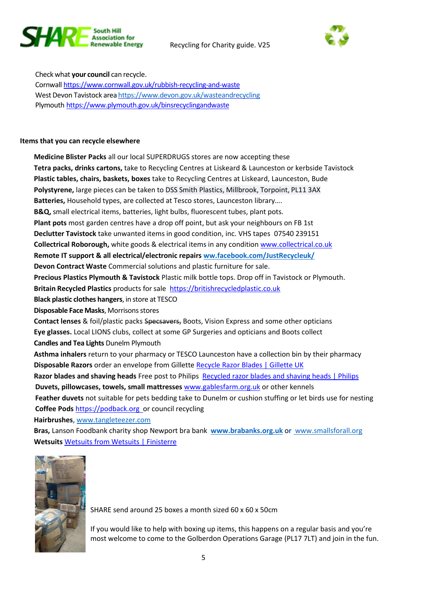



<span id="page-4-0"></span>Check what **your council** can recycle. Cornwal[l https://www.cornwall.gov.uk/rubbish-recycling-and-waste](https://www.cornwall.gov.uk/rubbish-recycling-and-waste/) West Devon Tavistock area <https://www.devon.gov.uk/wasteandrecycling> Plymouth <https://www.plymouth.gov.uk/binsrecyclingandwaste>

#### **Items that you can recycle elsewhere**

**Medicine Blister Packs** all our local SUPERDRUGS stores are now accepting these **Tetra packs, drinks cartons,** take to Recycling Centres at Liskeard & Launceston or kerbside Tavistock **Plastic tables, chairs, baskets, boxes** take to Recycling Centres at Liskeard, Launceston, Bude **Polystyrene,** large pieces can be taken to DSS Smith Plastics, Millbrook, Torpoint, PL11 3AX **Batteries,** Household types, are collected at Tesco stores, Launceston library…. **B&Q,** small electrical items, batteries, light bulbs, fluorescent tubes, plant pots. **Plant pots** most garden centres have a drop off point, but ask your neighbours on FB 1st **Declutter Tavistock** take unwanted items in good condition, inc. VHS tapes 07540 239151 **Collectrical Roborough,** white goods & electrical items in any condition [www.collectrical.co.uk](http://www.collectrical.co.uk/) **[Remote IT support & all electrical/electronic repairs ww.facebook.com/JustRecycleuk/](https://www.facebook.com/JustRecycleuk/) Devon Contract Waste** Commercial solutions and plastic furniture for sale. **Precious Plastics Plymouth & Tavistock** Plastic milk bottle tops. Drop off in Tavistock or Plymouth. **Britain Recycled Plastics** products for sale [https://britishrecycledplastic.co.uk](https://britishrecycledplastic.co.uk/) **Black plastic clothes hangers**, in store at TESCO **Disposable Face Masks, Morrisons stores Contact lenses** & foil/plastic packs Specsavers, Boots, Vision Express and some other opticians **Eye glasses.** Local LIONS clubs, collect at some GP Surgeries and opticians and Boots collect **Candles and Tea Lights** Dunelm Plymouth **Asthma inhalers** return to your pharmacy or TESCO Launceston have a collection bin by their pharmacy **Disposable Razors** order an envelope from Gillette [Recycle Razor Blades | Gillette UK](https://www.gillette.co.uk/recycle.list?fbclid=IwAR0ojHVebLPRBpo__eNszcCDbTT1hoc5kQcBUtibyL6QYzooPneKI79OsBc) **Razor blades and shaving heads** Free post to Philips[Recycled razor blades and shaving heads | Philips](https://www.philips.co.uk/a-w/about/shaving-recycling.html?fbclid=IwAR2Ly3H4_UScFlbg82D-RQCZBt-PseiexGwHeroEi9ehxSDdVhC_rFSwb2s) **Duvets, pillowcases, towels, small mattresses** [www.gablesfarm.org.uk](https://l.facebook.com/l.php?u=http%3A%2F%2Fwww.gablesfarm.org.uk%2F%3Ffbclid%3DIwAR1ZmrUsOK2f0ea32kzGCwnlblSFjxdo9vd_oXggjQb4SyQuBFbe950gySk&h=AT33en2oj3Iv303kNBEjqtKkAlosiXKvqP2hKln9SXnNOX26QS_1nApLzz9eq9IU0iC6LnbRC0X8xzqiKlet1LsFQ0dTJn6-EOtK3G_DoHgyT4wdSoGyEKRJkOOeXohmOMm0&__tn__=-UK-R&c%5b0%5d=AT1HevQWJ8Vbm92BhGC7POkHPYJCKxKs9GhMrOcB2zfU31tJ2Eo9dXjP4VmrECUFdQbbH9571YnVzugdiF6DKoJG8oe49fyNCX440v5TI4C3O7A07gV4iRHQHqC40WFtQ-VIoki7_sxefeg_3tNyQv4DBpTW-8oUi3dbAhujWl0mE__Vnsy-TBcqv-KpF1g-0LrjkUKjqqomGPrA-0ToiB2T7w0LWHw) or other kennels **Feather duvets** not suitable for pets bedding take to Dunelm or cushion stuffing or let birds use for nesting **Coffee Pods** [https://podback.org](https://podback.org/?fbclid=IwAR1TYm-OFf1WiFyrJS29CYXcgO3sjD7pjSn2hKm1GwGmQqyD1PlQtHqy4CM) or council recycling **Hairbrushes**, [www.tangleteezer.com](http://www.tangleteezer.com/)  **Bras,** Lanson Foodbank charity shop Newport bra bank **[www.brabanks.org.uk](http://www.brabanks.org.uk/)** o**r** [www.smallsforall.org](http://www.smallsforall.org/)

**Wetsuits** [Wetsuits from Wetsuits | Finisterre](https://finisterre.com/pages/wetsuits-from-wetsuits?fbclid=IwAR0zcszk1Ybset_hc03Z3Ztl_uUBgJkrApbznbGomFbG7G96KlL9ZbyC5ec) 



SHARE send around 25 boxes a month sized 60 x 60 x 50cm

If you would like to help with boxing up items, this happens on a regular basis and you're most welcome to come to the Golberdon Operations Garage (PL17 7LT) and join in the fun.